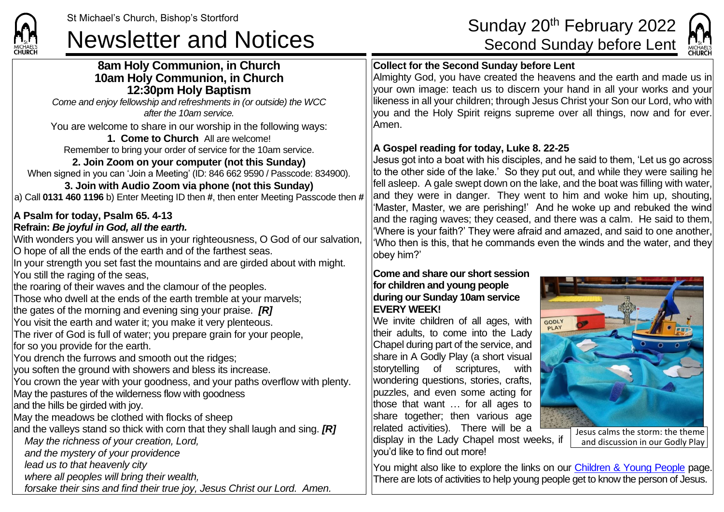

**8am Holy Communion, in Church**



# **Collect for the Second Sunday before Lent**

Almighty God, you have created the heavens and the earth and made us in your own image: teach us to discern your hand in all your works and your likeness in all your children; through Jesus Christ your Son our Lord, who with you and the Holy Spirit reigns supreme over all things, now and for ever. Amen.

## **A Gospel reading for today, Luke 8. 22-25**

Jesus got into a boat with his disciples, and he said to them, 'Let us go across to the other side of the lake.' So they put out, and while they were sailing he fell asleep. A gale swept down on the lake, and the boat was filling with water, and they were in danger. They went to him and woke him up, shouting, 'Master, Master, we are perishing!' And he woke up and rebuked the wind and the raging waves; they ceased, and there was a calm. He said to them, 'Where is your faith?' They were afraid and amazed, and said to one another, 'Who then is this, that he commands even the winds and the water, and they obey him?'

#### **Come and share our short session for children and young people during our Sunday 10am service EVERY WEEK!**

We invite children of all ages, with their adults, to come into the Lady Chapel during part of the service, and share in A Godly Play (a short visual storytelling of scriptures, with wondering questions, stories, crafts, puzzles, and even some acting for those that want … for all ages to share together; then various age related activities). There will be a display in the Lady Chapel most weeks, if you'd like to find out more!



**10am Holy Communion, in Church 12:30pm Holy Baptism** *Come and enjoy fellowship and refreshments in (or outside) the WCC after the 10am service.*

You are welcome to share in our worship in the following ways:

### **1. Come to Church** All are welcome!

Remember to bring your order of service for the 10am service.

# **2. Join Zoom on your computer (not this Sunday)**

When signed in you can 'Join a Meeting' (ID: 846 662 9590 / Passcode: 834900).

**3. Join with Audio Zoom via phone (not this Sunday)** a) Call **0131 460 1196** b) Enter Meeting ID then **#**, then enter Meeting Passcode then **#**

## **A Psalm for today, Psalm 65. 4-13 Refrain:** *Be joyful in God, all the earth.*

With wonders you will answer us in your righteousness, O God of our salvation, O hope of all the ends of the earth and of the farthest seas.

In your strength you set fast the mountains and are girded about with might. You still the raging of the seas,

the roaring of their waves and the clamour of the peoples.

Those who dwell at the ends of the earth tremble at your marvels;

the gates of the morning and evening sing your praise. *[R]*

You visit the earth and water it; you make it very plenteous.

The river of God is full of water; you prepare grain for your people, for so you provide for the earth.

You drench the furrows and smooth out the ridges;

you soften the ground with showers and bless its increase.

You crown the year with your goodness, and your paths overflow with plenty.

May the pastures of the wilderness flow with goodness

and the hills be girded with joy.

May the meadows be clothed with flocks of sheep

and the valleys stand so thick with corn that they shall laugh and sing. *[R]*

*May the richness of your creation, Lord,*

*and the mystery of your providence*

*lead us to that heavenly city*

*where all peoples will bring their wealth,*

*forsake their sins and find their true joy, Jesus Christ our Lord. Amen.*

You might also like to explore the links on our [Children & Young People](https://saintmichaelweb.org.uk/Groups/310496/Children_and_Young.aspx) page. There are lots of activities to help young people get to know the person of Jesus.